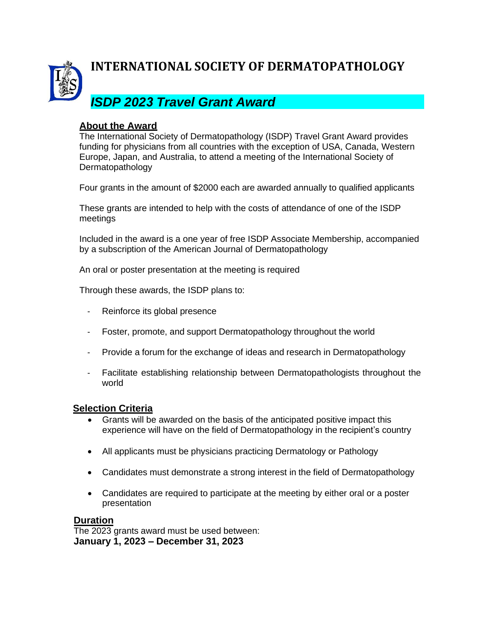

## **INTERNATIONAL SOCIETY OF DERMATOPATHOLOGY**

# *ISDP 2023 Travel Grant Award*

### **About the Award**

The International Society of Dermatopathology (ISDP) Travel Grant Award provides funding for physicians from all countries with the exception of USA, Canada, Western Europe, Japan, and Australia, to attend a meeting of the International Society of Dermatopathology

Four grants in the amount of \$2000 each are awarded annually to qualified applicants

These grants are intended to help with the costs of attendance of one of the ISDP meetings

Included in the award is a one year of free ISDP Associate Membership, accompanied by a subscription of the American Journal of Dermatopathology

An oral or poster presentation at the meeting is required

Through these awards, the ISDP plans to:

- Reinforce its global presence
- Foster, promote, and support Dermatopathology throughout the world
- Provide a forum for the exchange of ideas and research in Dermatopathology
- Facilitate establishing relationship between Dermatopathologists throughout the world

### **Selection Criteria**

- Grants will be awarded on the basis of the anticipated positive impact this experience will have on the field of Dermatopathology in the recipient's country
- All applicants must be physicians practicing Dermatology or Pathology
- Candidates must demonstrate a strong interest in the field of Dermatopathology
- Candidates are required to participate at the meeting by either oral or a poster presentation

#### **Duration**

The 2023 grants award must be used between: **January 1, 2023 – December 31, 2023**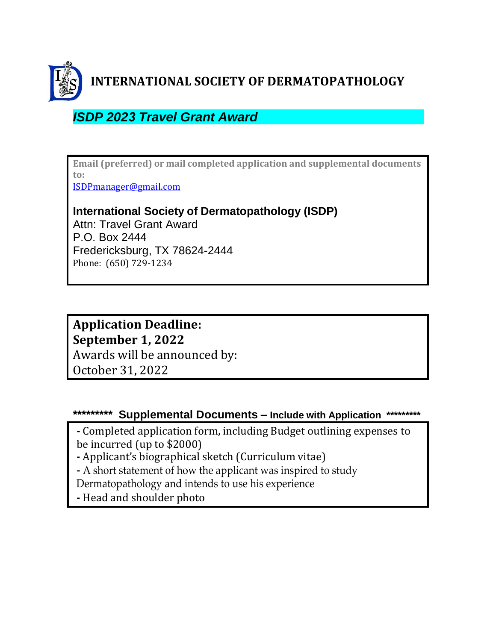

**INTERNATIONAL SOCIETY OF DERMATOPATHOLOGY**

# *ISDP 2023 Travel Grant Award*

**Email (preferred) or mail completed application and supplemental documents to:**

[ISDPmanager@gmail.com](mailto:ISDPmanager@gmail.com)

### **International Society of Dermatopathology (ISDP)**

Attn: Travel Grant Award P.O. Box 2444 Fredericksburg, TX 78624-2444 Phone: (650) 729-1234

## **Application Deadline: September 1, 2022** Awards will be announced by: October 31, 2022

### **\*\*\*\*\*\*\*\*\* Supplemental Documents – Include with Application \*\*\*\*\*\*\*\*\***

**-** Completed application form, including Budget outlining expenses to be incurred (up to \$2000)

**-** Applicant's biographical sketch (Curriculum vitae)

**-** A short statement of how the applicant was inspired to study

Dermatopathology and intends to use his experience

**-** Head and shoulder photo